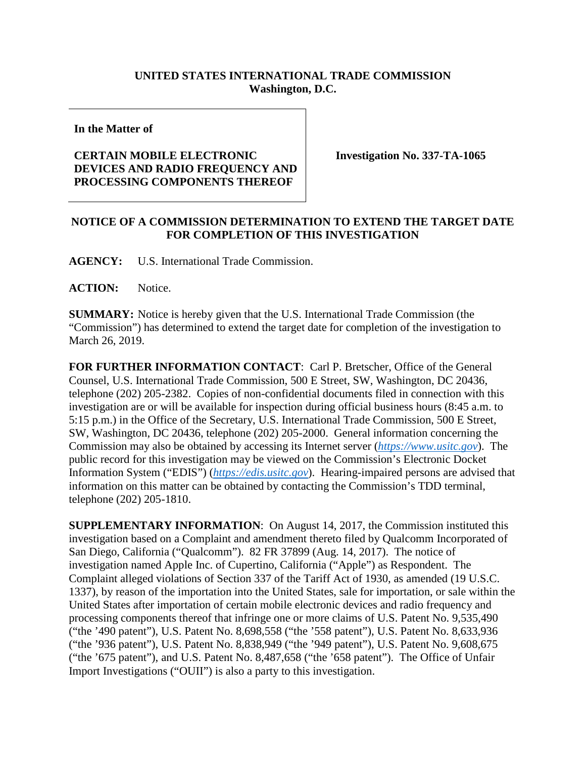## **UNITED STATES INTERNATIONAL TRADE COMMISSION Washington, D.C.**

**In the Matter of**

## **CERTAIN MOBILE ELECTRONIC DEVICES AND RADIO FREQUENCY AND PROCESSING COMPONENTS THEREOF**

**Investigation No. 337-TA-1065**

## **NOTICE OF A COMMISSION DETERMINATION TO EXTEND THE TARGET DATE FOR COMPLETION OF THIS INVESTIGATION**

**AGENCY:** U.S. International Trade Commission.

**ACTION:** Notice.

**SUMMARY:** Notice is hereby given that the U.S. International Trade Commission (the "Commission") has determined to extend the target date for completion of the investigation to March 26, 2019.

**FOR FURTHER INFORMATION CONTACT**: Carl P. Bretscher, Office of the General Counsel, U.S. International Trade Commission, 500 E Street, SW, Washington, DC 20436, telephone (202) 205-2382. Copies of non-confidential documents filed in connection with this investigation are or will be available for inspection during official business hours (8:45 a.m. to 5:15 p.m.) in the Office of the Secretary, U.S. International Trade Commission, 500 E Street, SW, Washington, DC 20436, telephone (202) 205-2000. General information concerning the Commission may also be obtained by accessing its Internet server (*[https://www.usitc.gov](https://www.usitc.gov/)*). The public record for this investigation may be viewed on the Commission's Electronic Docket Information System ("EDIS") (*[https://edis.usitc.gov](https://edis.usitc.gov/)*). Hearing-impaired persons are advised that information on this matter can be obtained by contacting the Commission's TDD terminal, telephone (202) 205-1810.

**SUPPLEMENTARY INFORMATION**: On August 14, 2017, the Commission instituted this investigation based on a Complaint and amendment thereto filed by Qualcomm Incorporated of San Diego, California ("Qualcomm"). 82 FR 37899 (Aug. 14, 2017). The notice of investigation named Apple Inc. of Cupertino, California ("Apple") as Respondent. The Complaint alleged violations of Section 337 of the Tariff Act of 1930, as amended (19 U.S.C. 1337), by reason of the importation into the United States, sale for importation, or sale within the United States after importation of certain mobile electronic devices and radio frequency and processing components thereof that infringe one or more claims of U.S. Patent No. 9,535,490 ("the '490 patent"), U.S. Patent No. 8,698,558 ("the '558 patent"), U.S. Patent No. 8,633,936 ("the '936 patent"), U.S. Patent No. 8,838,949 ("the '949 patent"), U.S. Patent No. 9,608,675 ("the '675 patent"), and U.S. Patent No. 8,487,658 ("the '658 patent"). The Office of Unfair Import Investigations ("OUII") is also a party to this investigation.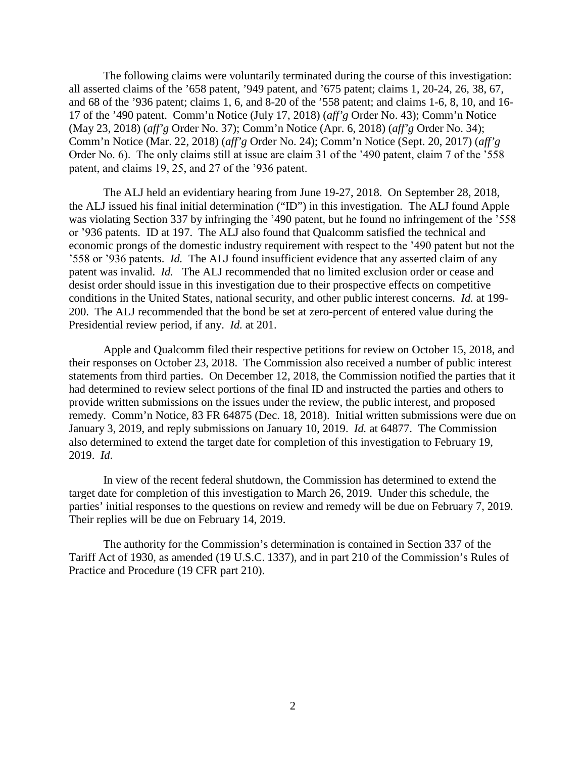The following claims were voluntarily terminated during the course of this investigation: all asserted claims of the '658 patent, '949 patent, and '675 patent; claims 1, 20-24, 26, 38, 67, and 68 of the '936 patent; claims 1, 6, and 8-20 of the '558 patent; and claims 1-6, 8, 10, and 16- 17 of the '490 patent. Comm'n Notice (July 17, 2018) (*aff'g* Order No. 43); Comm'n Notice (May 23, 2018) (*aff'g* Order No. 37); Comm'n Notice (Apr. 6, 2018) (*aff'g* Order No. 34); Comm'n Notice (Mar. 22, 2018) (*aff'g* Order No. 24); Comm'n Notice (Sept. 20, 2017) (*aff'g* Order No. 6). The only claims still at issue are claim 31 of the '490 patent, claim 7 of the '558 patent, and claims 19, 25, and 27 of the '936 patent.

The ALJ held an evidentiary hearing from June 19-27, 2018. On September 28, 2018, the ALJ issued his final initial determination ("ID") in this investigation. The ALJ found Apple was violating Section 337 by infringing the '490 patent, but he found no infringement of the '558 or '936 patents. ID at 197. The ALJ also found that Qualcomm satisfied the technical and economic prongs of the domestic industry requirement with respect to the '490 patent but not the '558 or '936 patents. *Id.* The ALJ found insufficient evidence that any asserted claim of any patent was invalid. *Id.* The ALJ recommended that no limited exclusion order or cease and desist order should issue in this investigation due to their prospective effects on competitive conditions in the United States, national security, and other public interest concerns. *Id.* at 199- 200. The ALJ recommended that the bond be set at zero-percent of entered value during the Presidential review period, if any. *Id.* at 201.

Apple and Qualcomm filed their respective petitions for review on October 15, 2018, and their responses on October 23, 2018. The Commission also received a number of public interest statements from third parties. On December 12, 2018, the Commission notified the parties that it had determined to review select portions of the final ID and instructed the parties and others to provide written submissions on the issues under the review, the public interest, and proposed remedy. Comm'n Notice, 83 FR 64875 (Dec. 18, 2018). Initial written submissions were due on January 3, 2019, and reply submissions on January 10, 2019. *Id.* at 64877. The Commission also determined to extend the target date for completion of this investigation to February 19, 2019. *Id*.

In view of the recent federal shutdown, the Commission has determined to extend the target date for completion of this investigation to March 26, 2019. Under this schedule, the parties' initial responses to the questions on review and remedy will be due on February 7, 2019. Their replies will be due on February 14, 2019.

The authority for the Commission's determination is contained in Section 337 of the Tariff Act of 1930, as amended (19 U.S.C. 1337), and in part 210 of the Commission's Rules of Practice and Procedure (19 CFR part 210).